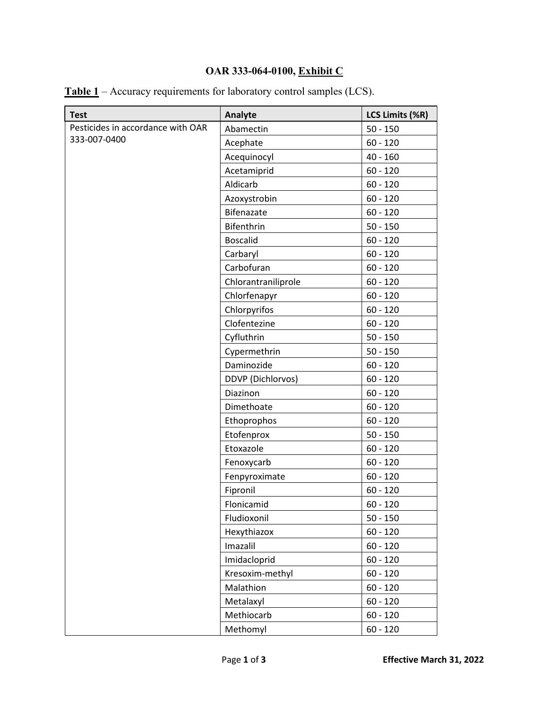## **OAR 333-064-0100, Exhibit C**

| <b>Test</b>                       | Analyte             | LCS Limits (%R) |
|-----------------------------------|---------------------|-----------------|
| Pesticides in accordance with OAR | Abamectin           | $50 - 150$      |
| 333-007-0400                      | Acephate            | $60 - 120$      |
|                                   | Acequinocyl         | $40 - 160$      |
|                                   | Acetamiprid         | $60 - 120$      |
|                                   | Aldicarb            | $60 - 120$      |
|                                   | Azoxystrobin        | $60 - 120$      |
|                                   | Bifenazate          | $60 - 120$      |
|                                   | Bifenthrin          | $50 - 150$      |
|                                   | <b>Boscalid</b>     | $60 - 120$      |
|                                   | Carbaryl            | $60 - 120$      |
|                                   | Carbofuran          | $60 - 120$      |
|                                   | Chlorantraniliprole | $60 - 120$      |
|                                   | Chlorfenapyr        | $60 - 120$      |
|                                   | Chlorpyrifos        | $60 - 120$      |
|                                   | Clofentezine        | $60 - 120$      |
|                                   | Cyfluthrin          | $50 - 150$      |
|                                   | Cypermethrin        | $50 - 150$      |
|                                   | Daminozide          | $60 - 120$      |
|                                   | DDVP (Dichlorvos)   | $60 - 120$      |
|                                   | Diazinon            | $60 - 120$      |
|                                   | Dimethoate          | $60 - 120$      |
|                                   | Ethoprophos         | $60 - 120$      |
|                                   | Etofenprox          | $50 - 150$      |
|                                   | Etoxazole           | $60 - 120$      |
|                                   | Fenoxycarb          | $60 - 120$      |
|                                   | Fenpyroximate       | $60 - 120$      |
|                                   | Fipronil            | $60 - 120$      |
|                                   | Flonicamid          | $60 - 120$      |
|                                   | Fludioxonil         | $50 - 150$      |
|                                   | Hexythiazox         | $60 - 120$      |
|                                   | Imazalil            | $60 - 120$      |
|                                   | Imidacloprid        | $60 - 120$      |
|                                   | Kresoxim-methyl     | $60 - 120$      |
|                                   | Malathion           | $60 - 120$      |
|                                   | Metalaxyl           | $60 - 120$      |
|                                   | Methiocarb          | $60 - 120$      |
|                                   | Methomyl            | $60 - 120$      |

|  | <b>Table 1</b> – Accuracy requirements for laboratory control samples (LCS). |  |  |  |
|--|------------------------------------------------------------------------------|--|--|--|
|  |                                                                              |  |  |  |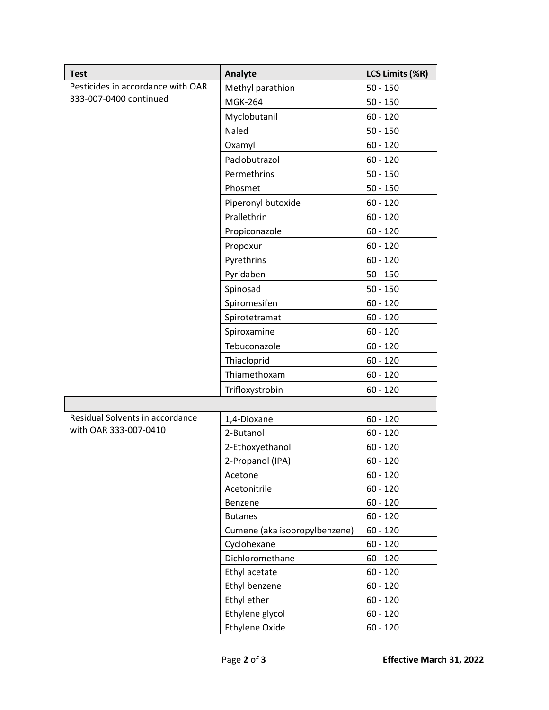| <b>Test</b>                       | Analyte                       | LCS Limits (%R) |
|-----------------------------------|-------------------------------|-----------------|
| Pesticides in accordance with OAR | Methyl parathion              | $50 - 150$      |
| 333-007-0400 continued            | <b>MGK-264</b>                | $50 - 150$      |
|                                   | Myclobutanil                  | $60 - 120$      |
|                                   | Naled                         | $50 - 150$      |
|                                   | Oxamyl                        | $60 - 120$      |
|                                   | Paclobutrazol                 | $60 - 120$      |
|                                   | Permethrins                   | $50 - 150$      |
|                                   | Phosmet                       | $50 - 150$      |
|                                   | Piperonyl butoxide            | $60 - 120$      |
|                                   | Prallethrin                   | $60 - 120$      |
|                                   | Propiconazole                 | $60 - 120$      |
|                                   | Propoxur                      | $60 - 120$      |
|                                   | Pyrethrins                    | $60 - 120$      |
|                                   | Pyridaben                     | $50 - 150$      |
|                                   | Spinosad                      | $50 - 150$      |
|                                   | Spiromesifen                  | $60 - 120$      |
|                                   | Spirotetramat                 | $60 - 120$      |
|                                   | Spiroxamine                   | $60 - 120$      |
|                                   | Tebuconazole                  | $60 - 120$      |
|                                   | Thiacloprid                   | $60 - 120$      |
|                                   | Thiamethoxam                  | $60 - 120$      |
|                                   | Trifloxystrobin               | $60 - 120$      |
|                                   |                               |                 |
| Residual Solvents in accordance   | 1,4-Dioxane                   | $60 - 120$      |
| with OAR 333-007-0410             | 2-Butanol                     | $60 - 120$      |
|                                   | 2-Ethoxyethanol               | $60 - 120$      |
|                                   | 2-Propanol (IPA)              | $60 - 120$      |
|                                   | Acetone                       | $60 - 120$      |
|                                   | Acetonitrile                  | $60 - 120$      |
|                                   | Benzene                       | $60 - 120$      |
|                                   | <b>Butanes</b>                | $60 - 120$      |
|                                   | Cumene (aka isopropylbenzene) | $60 - 120$      |
|                                   | Cyclohexane                   | $60 - 120$      |
|                                   | Dichloromethane               | $60 - 120$      |
|                                   | Ethyl acetate                 | $60 - 120$      |
|                                   | Ethyl benzene                 | $60 - 120$      |
|                                   | Ethyl ether                   | $60 - 120$      |
|                                   | Ethylene glycol               | $60 - 120$      |
|                                   | <b>Ethylene Oxide</b>         | $60 - 120$      |